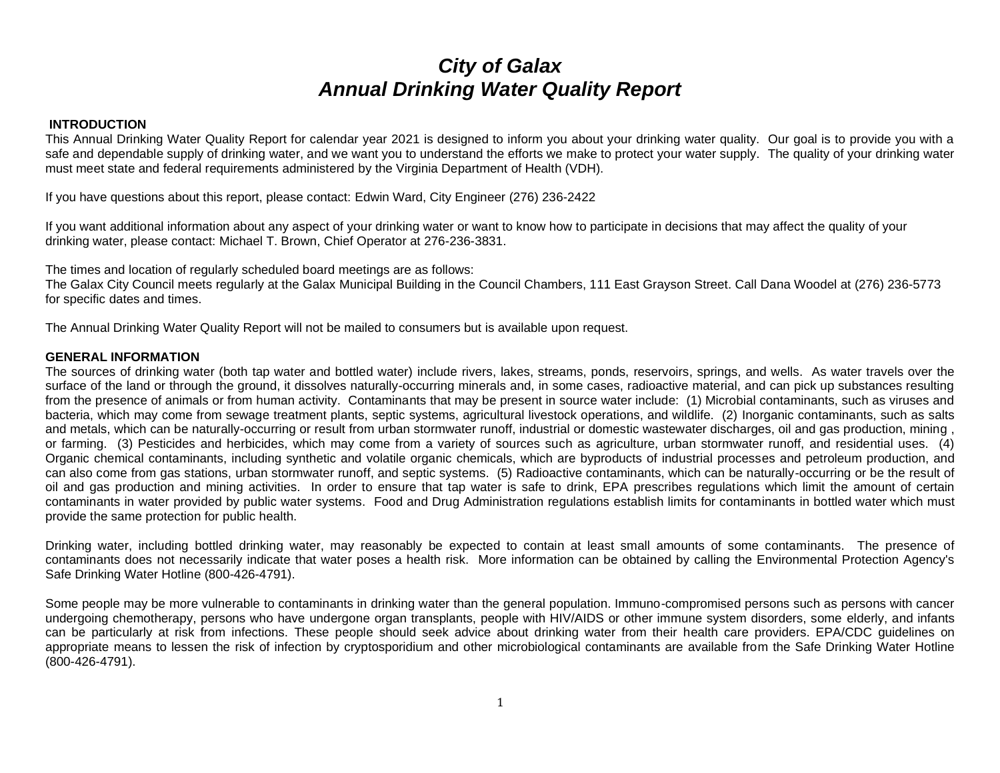# *City of Galax Annual Drinking Water Quality Report*

### **INTRODUCTION**

This Annual Drinking Water Quality Report for calendar year 2021 is designed to inform you about your drinking water quality. Our goal is to provide you with a safe and dependable supply of drinking water, and we want you to understand the efforts we make to protect your water supply. The quality of your drinking water must meet state and federal requirements administered by the Virginia Department of Health (VDH).

If you have questions about this report, please contact: Edwin Ward, City Engineer (276) 236-2422

If you want additional information about any aspect of your drinking water or want to know how to participate in decisions that may affect the quality of your drinking water, please contact: Michael T. Brown, Chief Operator at 276-236-3831.

The times and location of regularly scheduled board meetings are as follows:

The Galax City Council meets regularly at the Galax Municipal Building in the Council Chambers, 111 East Grayson Street. Call Dana Woodel at (276) 236-5773 for specific dates and times.

The Annual Drinking Water Quality Report will not be mailed to consumers but is available upon request.

### **GENERAL INFORMATION**

The sources of drinking water (both tap water and bottled water) include rivers, lakes, streams, ponds, reservoirs, springs, and wells. As water travels over the surface of the land or through the ground, it dissolves naturally-occurring minerals and, in some cases, radioactive material, and can pick up substances resulting from the presence of animals or from human activity. Contaminants that may be present in source water include: (1) Microbial contaminants, such as viruses and bacteria, which may come from sewage treatment plants, septic systems, agricultural livestock operations, and wildlife. (2) Inorganic contaminants, such as salts and metals, which can be naturally-occurring or result from urban stormwater runoff, industrial or domestic wastewater discharges, oil and gas production, mining , or farming. (3) Pesticides and herbicides, which may come from a variety of sources such as agriculture, urban stormwater runoff, and residential uses. (4) Organic chemical contaminants, including synthetic and volatile organic chemicals, which are byproducts of industrial processes and petroleum production, and can also come from gas stations, urban stormwater runoff, and septic systems. (5) Radioactive contaminants, which can be naturally-occurring or be the result of oil and gas production and mining activities. In order to ensure that tap water is safe to drink, EPA prescribes regulations which limit the amount of certain contaminants in water provided by public water systems. Food and Drug Administration regulations establish limits for contaminants in bottled water which must provide the same protection for public health.

Drinking water, including bottled drinking water, may reasonably be expected to contain at least small amounts of some contaminants. The presence of contaminants does not necessarily indicate that water poses a health risk. More information can be obtained by calling the Environmental Protection Agency's Safe Drinking Water Hotline (800-426-4791).

Some people may be more vulnerable to contaminants in drinking water than the general population. Immuno-compromised persons such as persons with cancer undergoing chemotherapy, persons who have undergone organ transplants, people with HIV/AIDS or other immune system disorders, some elderly, and infants can be particularly at risk from infections. These people should seek advice about drinking water from their health care providers. EPA/CDC guidelines on appropriate means to lessen the risk of infection by cryptosporidium and other microbiological contaminants are available from the Safe Drinking Water Hotline (800-426-4791).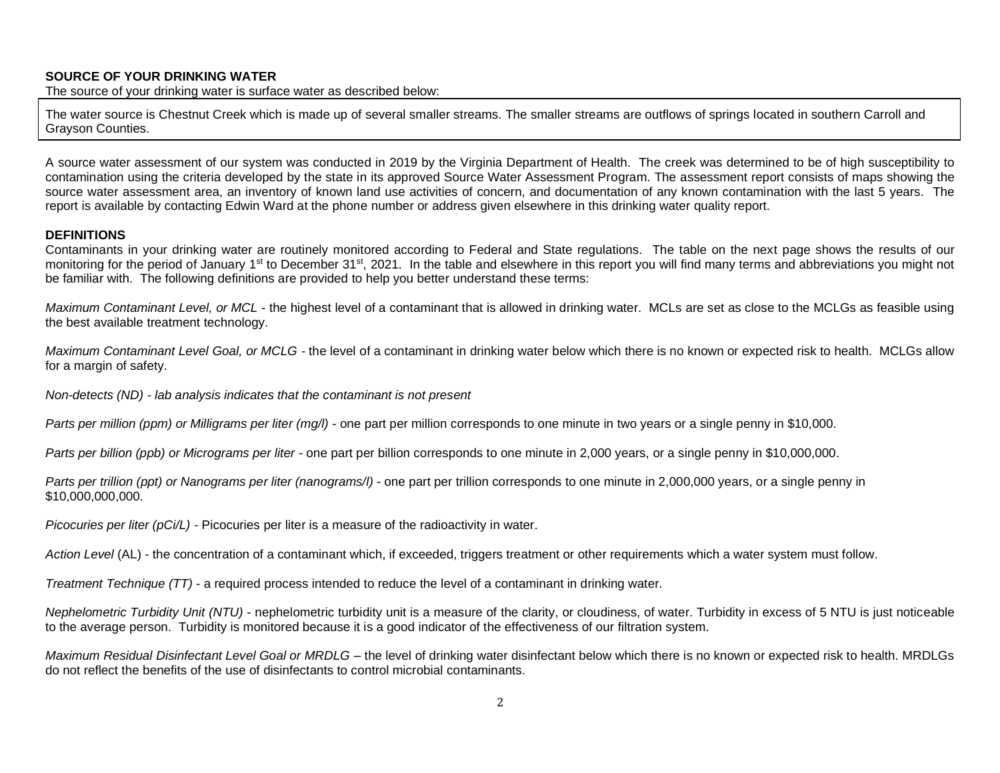### **SOURCE OF YOUR DRINKING WATER**

The source of your drinking water is surface water as described below:

The water source is Chestnut Creek which is made up of several smaller streams. The smaller streams are outflows of springs located in southern Carroll and Grayson Counties.

A source water assessment of our system was conducted in 2019 by the Virginia Department of Health. The creek was determined to be of high susceptibility to contamination using the criteria developed by the state in its approved Source Water Assessment Program. The assessment report consists of maps showing the source water assessment area, an inventory of known land use activities of concern, and documentation of any known contamination with the last 5 years. The report is available by contacting Edwin Ward at the phone number or address given elsewhere in this drinking water quality report.

#### **DEFINITIONS**

Contaminants in your drinking water are routinely monitored according to Federal and State regulations. The table on the next page shows the results of our monitoring for the period of January 1<sup>st</sup> to December 31<sup>st</sup>, 2021. In the table and elsewhere in this report you will find many terms and abbreviations you might not be familiar with. The following definitions are provided to help you better understand these terms:

*Maximum Contaminant Level, or MCL* - the highest level of a contaminant that is allowed in drinking water. MCLs are set as close to the MCLGs as feasible using the best available treatment technology.

*Maximum Contaminant Level Goal, or MCLG -* the level of a contaminant in drinking water below which there is no known or expected risk to health. MCLGs allow for a margin of safety.

*Non-detects (ND) - lab analysis indicates that the contaminant is not present*

*Parts per million (ppm) or Milligrams per liter (mg/l)* - one part per million corresponds to one minute in two years or a single penny in \$10,000.

*Parts per billion (ppb) or Micrograms per liter* - one part per billion corresponds to one minute in 2,000 years, or a single penny in \$10,000,000.

*Parts per trillion (ppt) or Nanograms per liter (nanograms/l)* - one part per trillion corresponds to one minute in 2,000,000 years, or a single penny in \$10,000,000,000.

*Picocuries per liter (pCi/L)* - Picocuries per liter is a measure of the radioactivity in water.

*Action Level* (AL) - the concentration of a contaminant which, if exceeded, triggers treatment or other requirements which a water system must follow.

*Treatment Technique (TT)* - a required process intended to reduce the level of a contaminant in drinking water.

*Nephelometric Turbidity Unit (NTU)* - nephelometric turbidity unit is a measure of the clarity, or cloudiness, of water. Turbidity in excess of 5 NTU is just noticeable to the average person. Turbidity is monitored because it is a good indicator of the effectiveness of our filtration system.

*Maximum Residual Disinfectant Level Goal or MRDLG –* the level of drinking water disinfectant below which there is no known or expected risk to health. MRDLGs do not reflect the benefits of the use of disinfectants to control microbial contaminants.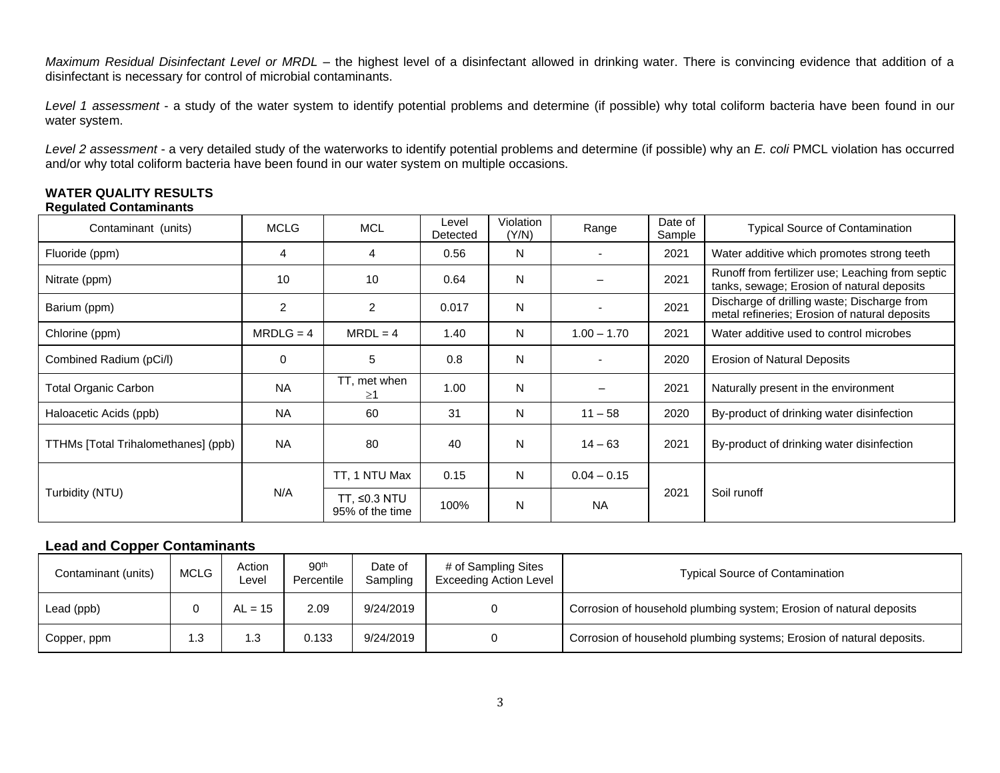*Maximum Residual Disinfectant Level or MRDL –* the highest level of a disinfectant allowed in drinking water. There is convincing evidence that addition of a disinfectant is necessary for control of microbial contaminants.

*Level 1 assessment* - a study of the water system to identify potential problems and determine (if possible) why total coliform bacteria have been found in our water system.

*Level 2 assessment* - a very detailed study of the waterworks to identify potential problems and determine (if possible) why an *E. coli* PMCL violation has occurred and/or why total coliform bacteria have been found in our water system on multiple occasions.

# **WATER QUALITY RESULTS**

## **Regulated Contaminants**

| Contaminant (units)                 | <b>MCLG</b> | <b>MCL</b>                      | Level<br>Detected | Violation<br>(Y/N) | Range         | Date of<br>Sample | <b>Typical Source of Contamination</b>                                                         |
|-------------------------------------|-------------|---------------------------------|-------------------|--------------------|---------------|-------------------|------------------------------------------------------------------------------------------------|
| Fluoride (ppm)                      | 4           | 4                               | 0.56              | N                  |               | 2021              | Water additive which promotes strong teeth                                                     |
| Nitrate (ppm)                       | 10          | 10                              | 0.64              | N                  |               | 2021              | Runoff from fertilizer use; Leaching from septic<br>tanks, sewage; Erosion of natural deposits |
| Barium (ppm)                        | 2           | 2                               | 0.017             | N                  |               | 2021              | Discharge of drilling waste; Discharge from<br>metal refineries; Erosion of natural deposits   |
| Chlorine (ppm)                      | $MRDLG = 4$ | $MRDL = 4$                      | 1.40              | N                  | $1.00 - 1.70$ | 2021              | Water additive used to control microbes                                                        |
| Combined Radium (pCi/l)             | 0           | 5                               | 0.8               | N                  |               | 2020              | <b>Erosion of Natural Deposits</b>                                                             |
| <b>Total Organic Carbon</b>         | <b>NA</b>   | TT, met when<br>$\geq$ 1        | 1.00              | N                  |               | 2021              | Naturally present in the environment                                                           |
| Haloacetic Acids (ppb)              | <b>NA</b>   | 60                              | 31                | N                  | $11 - 58$     | 2020              | By-product of drinking water disinfection                                                      |
| TTHMs [Total Trihalomethanes] (ppb) | NA.         | 80                              | 40                | N                  | $14 - 63$     | 2021              | By-product of drinking water disinfection                                                      |
| Turbidity (NTU)                     | N/A         | TT, 1 NTU Max                   | 0.15              | $\mathsf{N}$       | $0.04 - 0.15$ | 2021              |                                                                                                |
|                                     |             | TT, ≤0.3 NTU<br>95% of the time | 100%              | N                  | <b>NA</b>     |                   | Soil runoff                                                                                    |

## **Lead and Copper Contaminants**

| Contaminant (units) | <b>MCLG</b> | Action<br>Level | 90 <sup>th</sup><br>Percentile | Date of<br>Sampling | # of Sampling Sites<br><b>Exceeding Action Level</b> | <b>Typical Source of Contamination</b>                                |
|---------------------|-------------|-----------------|--------------------------------|---------------------|------------------------------------------------------|-----------------------------------------------------------------------|
| Lead (ppb)          |             | $AL = 15$       | 2.09                           | 9/24/2019           |                                                      | Corrosion of household plumbing system; Erosion of natural deposits   |
| Copper, ppm         | ົ<br>ں. ا   |                 | 0.133                          | 9/24/2019           |                                                      | Corrosion of household plumbing systems; Erosion of natural deposits. |